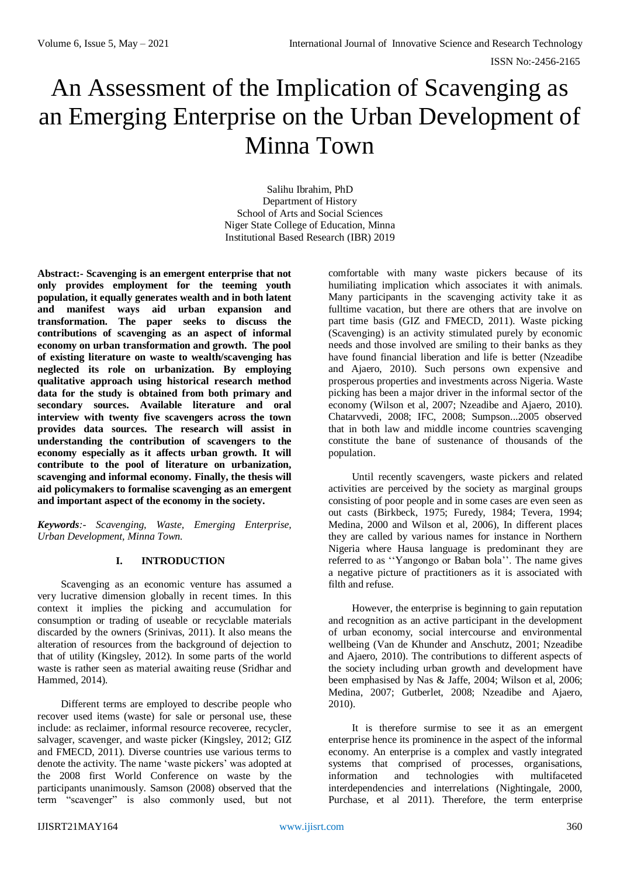# An Assessment of the Implication of Scavenging as an Emerging Enterprise on the Urban Development of Minna Town

Salihu Ibrahim, PhD Department of History School of Arts and Social Sciences Niger State College of Education, Minna Institutional Based Research (IBR) 2019

**Abstract:- Scavenging is an emergent enterprise that not only provides employment for the teeming youth population, it equally generates wealth and in both latent and manifest ways aid urban expansion and transformation. The paper seeks to discuss the contributions of scavenging as an aspect of informal economy on urban transformation and growth. The pool of existing literature on waste to wealth/scavenging has neglected its role on urbanization. By employing qualitative approach using historical research method data for the study is obtained from both primary and secondary sources. Available literature and oral interview with twenty five scavengers across the town provides data sources. The research will assist in understanding the contribution of scavengers to the economy especially as it affects urban growth. It will contribute to the pool of literature on urbanization, scavenging and informal economy. Finally, the thesis will aid policymakers to formalise scavenging as an emergent and important aspect of the economy in the society.** 

*Keywords:- Scavenging, Waste, Emerging Enterprise, Urban Development, Minna Town.*

### **I. INTRODUCTION**

Scavenging as an economic venture has assumed a very lucrative dimension globally in recent times. In this context it implies the picking and accumulation for consumption or trading of useable or recyclable materials discarded by the owners (Srinivas, 2011). It also means the alteration of resources from the background of dejection to that of utility (Kingsley, 2012). In some parts of the world waste is rather seen as material awaiting reuse (Sridhar and Hammed, 2014).

Different terms are employed to describe people who recover used items (waste) for sale or personal use, these include: as reclaimer, informal resource recoveree, recycler, salvager, scavenger, and waste picker (Kingsley, 2012; GIZ and FMECD, 2011). Diverse countries use various terms to denote the activity. The name 'waste pickers' was adopted at the 2008 first World Conference on waste by the participants unanimously. Samson (2008) observed that the term "scavenger" is also commonly used, but not

comfortable with many waste pickers because of its humiliating implication which associates it with animals. Many participants in the scavenging activity take it as fulltime vacation, but there are others that are involve on part time basis (GIZ and FMECD, 2011). Waste picking (Scavenging) is an activity stimulated purely by economic needs and those involved are smiling to their banks as they have found financial liberation and life is better (Nzeadibe and Ajaero, 2010). Such persons own expensive and prosperous properties and investments across Nigeria. Waste picking has been a major driver in the informal sector of the economy (Wilson et al, 2007; Nzeadibe and Ajaero, 2010). Chatarvvedi, 2008; IFC, 2008; Sumpson...2005 observed that in both law and middle income countries scavenging constitute the bane of sustenance of thousands of the population.

Until recently scavengers, waste pickers and related activities are perceived by the society as marginal groups consisting of poor people and in some cases are even seen as out casts (Birkbeck, 1975; Furedy, 1984; Tevera, 1994; Medina, 2000 and Wilson et al, 2006), In different places they are called by various names for instance in Northern Nigeria where Hausa language is predominant they are referred to as ''Yangongo or Baban bola''. The name gives a negative picture of practitioners as it is associated with filth and refuse.

However, the enterprise is beginning to gain reputation and recognition as an active participant in the development of urban economy, social intercourse and environmental wellbeing (Van de Khunder and Anschutz, 2001; Nzeadibe and Ajaero, 2010). The contributions to different aspects of the society including urban growth and development have been emphasised by Nas & Jaffe, 2004; Wilson et al, 2006; Medina, 2007; Gutberlet, 2008; Nzeadibe and Ajaero, 2010).

It is therefore surmise to see it as an emergent enterprise hence its prominence in the aspect of the informal economy. An enterprise is a complex and vastly integrated systems that comprised of processes, organisations, information and technologies with multifaceted interdependencies and interrelations (Nightingale, 2000, Purchase, et al 2011). Therefore, the term enterprise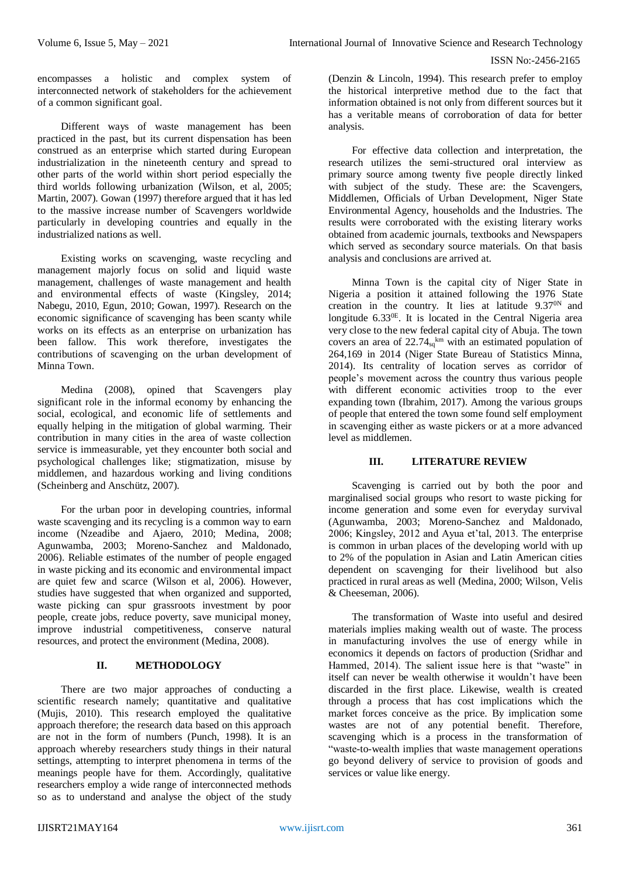encompasses a holistic and complex system of interconnected network of stakeholders for the achievement of a common significant goal.

Different ways of waste management has been practiced in the past, but its current dispensation has been construed as an enterprise which started during European industrialization in the nineteenth century and spread to other parts of the world within short period especially the third worlds following urbanization (Wilson, et al, 2005; Martin, 2007). Gowan (1997) therefore argued that it has led to the massive increase number of Scavengers worldwide particularly in developing countries and equally in the industrialized nations as well.

Existing works on scavenging, waste recycling and management majorly focus on solid and liquid waste management, challenges of waste management and health and environmental effects of waste (Kingsley, 2014; Nabegu, 2010, Egun, 2010; Gowan, 1997). Research on the economic significance of scavenging has been scanty while works on its effects as an enterprise on urbanization has been fallow. This work therefore, investigates the contributions of scavenging on the urban development of Minna Town.

Medina (2008), opined that Scavengers play significant role in the informal economy by enhancing the social, ecological, and economic life of settlements and equally helping in the mitigation of global warming. Their contribution in many cities in the area of waste collection service is immeasurable, yet they encounter both social and psychological challenges like; stigmatization, misuse by middlemen, and hazardous working and living conditions (Scheinberg and Anschütz, 2007).

For the urban poor in developing countries, informal waste scavenging and its recycling is a common way to earn income (Nzeadibe and Ajaero, 2010; Medina, 2008; Agunwamba, 2003; Moreno-Sanchez and Maldonado, 2006). Reliable estimates of the number of people engaged in waste picking and its economic and environmental impact are quiet few and scarce (Wilson et al, 2006). However, studies have suggested that when organized and supported, waste picking can spur grassroots investment by poor people, create jobs, reduce poverty, save municipal money, improve industrial competitiveness, conserve natural resources, and protect the environment (Medina, 2008).

## **II. METHODOLOGY**

There are two major approaches of conducting a scientific research namely; quantitative and qualitative (Mujis, 2010). This research employed the qualitative approach therefore; the research data based on this approach are not in the form of numbers (Punch, 1998). It is an approach whereby researchers study things in their natural settings, attempting to interpret phenomena in terms of the meanings people have for them. Accordingly, qualitative researchers employ a wide range of interconnected methods so as to understand and analyse the object of the study

(Denzin & Lincoln, 1994). This research prefer to employ the historical interpretive method due to the fact that information obtained is not only from different sources but it has a veritable means of corroboration of data for better analysis.

For effective data collection and interpretation, the research utilizes the semi-structured oral interview as primary source among twenty five people directly linked with subject of the study. These are: the Scavengers, Middlemen, Officials of Urban Development, Niger State Environmental Agency, households and the Industries. The results were corroborated with the existing literary works obtained from academic journals, textbooks and Newspapers which served as secondary source materials. On that basis analysis and conclusions are arrived at.

Minna Town is the capital city of Niger State in Nigeria a position it attained following the 1976 State creation in the country. It lies at latitude  $9.37<sup>0N</sup>$  and longitude 6.33<sup>0E</sup>. It is located in the Central Nigeria area very close to the new federal capital city of Abuja. The town covers an area of  $22.74<sub>sq</sub><sup>km</sup>$  with an estimated population of 264,169 in 2014 (Niger State Bureau of Statistics Minna, 2014). Its centrality of location serves as corridor of people's movement across the country thus various people with different economic activities troop to the ever expanding town (Ibrahim, 2017). Among the various groups of people that entered the town some found self employment in scavenging either as waste pickers or at a more advanced level as middlemen.

## **III. LITERATURE REVIEW**

Scavenging is carried out by both the poor and marginalised social groups who resort to waste picking for income generation and some even for everyday survival (Agunwamba, 2003; Moreno-Sanchez and Maldonado, 2006; Kingsley, 2012 and Ayua et'tal, 2013. The enterprise is common in urban places of the developing world with up to 2% of the population in Asian and Latin American cities dependent on scavenging for their livelihood but also practiced in rural areas as well (Medina, 2000; Wilson, Velis & Cheeseman, 2006).

The transformation of Waste into useful and desired materials implies making wealth out of waste. The process in manufacturing involves the use of energy while in economics it depends on factors of production (Sridhar and Hammed, 2014). The salient issue here is that "waste" in itself can never be wealth otherwise it wouldn't have been discarded in the first place. Likewise, wealth is created through a process that has cost implications which the market forces conceive as the price. By implication some wastes are not of any potential benefit. Therefore, scavenging which is a process in the transformation of "waste-to-wealth implies that waste management operations go beyond delivery of service to provision of goods and services or value like energy.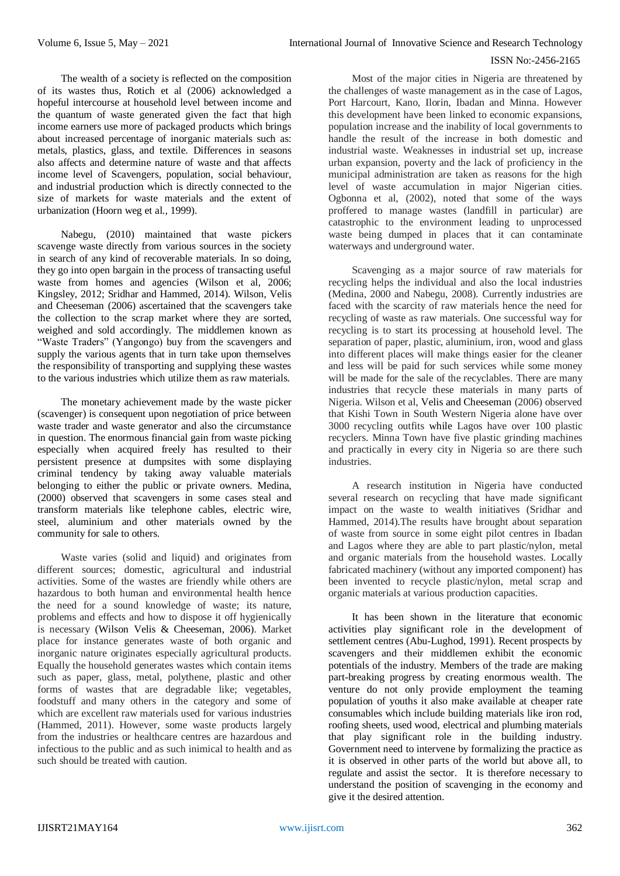The wealth of a society is reflected on the composition of its wastes thus, Rotich et al (2006) acknowledged a hopeful intercourse at household level between income and the quantum of waste generated given the fact that high income earners use more of packaged products which brings about increased percentage of inorganic materials such as: metals, plastics, glass, and textile. Differences in seasons also affects and determine nature of waste and that affects income level of Scavengers, population, social behaviour, and industrial production which is directly connected to the size of markets for waste materials and the extent of urbanization (Hoorn weg et al*.,* 1999).

Nabegu, (2010) maintained that waste pickers scavenge waste directly from various sources in the society in search of any kind of recoverable materials. In so doing, they go into open bargain in the process of transacting useful waste from homes and agencies (Wilson et al, 2006; Kingsley, 2012; Sridhar and Hammed, 2014). Wilson, Velis and Cheeseman (2006) ascertained that the scavengers take the collection to the scrap market where they are sorted, weighed and sold accordingly. The middlemen known as "Waste Traders" (Yangongo) buy from the scavengers and supply the various agents that in turn take upon themselves the responsibility of transporting and supplying these wastes to the various industries which utilize them as raw materials.

The monetary achievement made by the waste picker (scavenger) is consequent upon negotiation of price between waste trader and waste generator and also the circumstance in question. The enormous financial gain from waste picking especially when acquired freely has resulted to their persistent presence at dumpsites with some displaying criminal tendency by taking away valuable materials belonging to either the public or private owners. Medina, (2000) observed that scavengers in some cases steal and transform materials like telephone cables, electric wire, steel, aluminium and other materials owned by the community for sale to others.

Waste varies (solid and liquid) and originates from different sources; domestic, agricultural and industrial activities. Some of the wastes are friendly while others are hazardous to both human and environmental health hence the need for a sound knowledge of waste; its nature, problems and effects and how to dispose it off hygienically is necessary (Wilson Velis & Cheeseman, 2006). Market place for instance generates waste of both organic and inorganic nature originates especially agricultural products. Equally the household generates wastes which contain items such as paper, glass, metal, polythene, plastic and other forms of wastes that are degradable like; vegetables, foodstuff and many others in the category and some of which are excellent raw materials used for various industries (Hammed, 2011). However, some waste products largely from the industries or healthcare centres are hazardous and infectious to the public and as such inimical to health and as such should be treated with caution.

Most of the major cities in Nigeria are threatened by the challenges of waste management as in the case of Lagos, Port Harcourt, Kano, Ilorin, Ibadan and Minna. However this development have been linked to economic expansions, population increase and the inability of local governments to handle the result of the increase in both domestic and industrial waste. Weaknesses in industrial set up, increase urban expansion, poverty and the lack of proficiency in the municipal administration are taken as reasons for the high level of waste accumulation in major Nigerian cities. Ogbonna et al, (2002), noted that some of the ways proffered to manage wastes (landfill in particular) are catastrophic to the environment leading to unprocessed waste being dumped in places that it can contaminate waterways and underground water.

Scavenging as a major source of raw materials for recycling helps the individual and also the local industries (Medina, 2000 and Nabegu, 2008). Currently industries are faced with the scarcity of raw materials hence the need for recycling of waste as raw materials. One successful way for recycling is to start its processing at household level. The separation of paper, plastic, aluminium, iron, wood and glass into different places will make things easier for the cleaner and less will be paid for such services while some money will be made for the sale of the recyclables. There are many industries that recycle these materials in many parts of Nigeria. Wilson et al, Velis and Cheeseman (2006) observed that Kishi Town in South Western Nigeria alone have over 3000 recycling outfits while Lagos have over 100 plastic recyclers. Minna Town have five plastic grinding machines and practically in every city in Nigeria so are there such industries.

A research institution in Nigeria have conducted several research on recycling that have made significant impact on the waste to wealth initiatives (Sridhar and Hammed, 2014).The results have brought about separation of waste from source in some eight pilot centres in Ibadan and Lagos where they are able to part plastic/nylon, metal and organic materials from the household wastes. Locally fabricated machinery (without any imported component) has been invented to recycle plastic/nylon, metal scrap and organic materials at various production capacities.

It has been shown in the literature that economic activities play significant role in the development of settlement centres (Abu-Lughod, 1991). Recent prospects by scavengers and their middlemen exhibit the economic potentials of the industry. Members of the trade are making part-breaking progress by creating enormous wealth. The venture do not only provide employment the teaming population of youths it also make available at cheaper rate consumables which include building materials like iron rod, roofing sheets, used wood, electrical and plumbing materials that play significant role in the building industry. Government need to intervene by formalizing the practice as it is observed in other parts of the world but above all, to regulate and assist the sector. It is therefore necessary to understand the position of scavenging in the economy and give it the desired attention.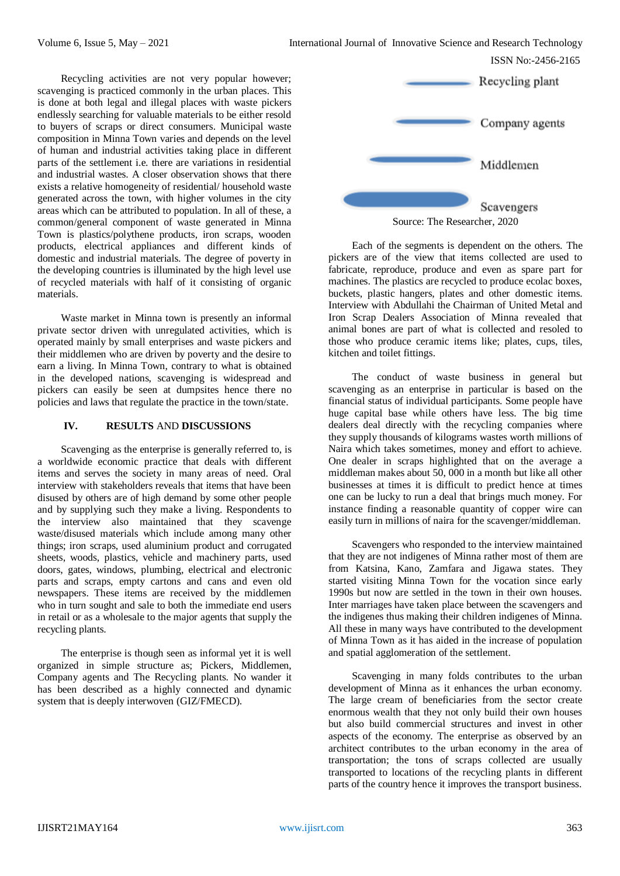Recycling activities are not very popular however; scavenging is practiced commonly in the urban places. This is done at both legal and illegal places with waste pickers endlessly searching for valuable materials to be either resold to buyers of scraps or direct consumers. Municipal waste composition in Minna Town varies and depends on the level of human and industrial activities taking place in different parts of the settlement i.e. there are variations in residential and industrial wastes. A closer observation shows that there exists a relative homogeneity of residential/ household waste generated across the town, with higher volumes in the city areas which can be attributed to population. In all of these, a common/general component of waste generated in Minna Town is plastics/polythene products, iron scraps, wooden products, electrical appliances and different kinds of domestic and industrial materials. The degree of poverty in the developing countries is illuminated by the high level use of recycled materials with half of it consisting of organic materials.

Waste market in Minna town is presently an informal private sector driven with unregulated activities, which is operated mainly by small enterprises and waste pickers and their middlemen who are driven by poverty and the desire to earn a living. In Minna Town, contrary to what is obtained in the developed nations, scavenging is widespread and pickers can easily be seen at dumpsites hence there no policies and laws that regulate the practice in the town/state.

### **IV. RESULTS** AND **DISCUSSIONS**

Scavenging as the enterprise is generally referred to, is a worldwide economic practice that deals with different items and serves the society in many areas of need. Oral interview with stakeholders reveals that items that have been disused by others are of high demand by some other people and by supplying such they make a living. Respondents to the interview also maintained that they scavenge waste/disused materials which include among many other things; iron scraps, used aluminium product and corrugated sheets, woods, plastics, vehicle and machinery parts, used doors, gates, windows, plumbing, electrical and electronic parts and scraps, empty cartons and cans and even old newspapers. These items are received by the middlemen who in turn sought and sale to both the immediate end users in retail or as a wholesale to the major agents that supply the recycling plants.

The enterprise is though seen as informal yet it is well organized in simple structure as; Pickers, Middlemen, Company agents and The Recycling plants. No wander it has been described as a highly connected and dynamic system that is deeply interwoven (GIZ/FMECD).



Source: The Researcher, 2020

Each of the segments is dependent on the others. The pickers are of the view that items collected are used to fabricate, reproduce, produce and even as spare part for machines. The plastics are recycled to produce ecolac boxes, buckets, plastic hangers, plates and other domestic items. Interview with Abdullahi the Chairman of United Metal and Iron Scrap Dealers Association of Minna revealed that animal bones are part of what is collected and resoled to those who produce ceramic items like; plates, cups, tiles, kitchen and toilet fittings.

The conduct of waste business in general but scavenging as an enterprise in particular is based on the financial status of individual participants. Some people have huge capital base while others have less. The big time dealers deal directly with the recycling companies where they supply thousands of kilograms wastes worth millions of Naira which takes sometimes, money and effort to achieve. One dealer in scraps highlighted that on the average a middleman makes about 50, 000 in a month but like all other businesses at times it is difficult to predict hence at times one can be lucky to run a deal that brings much money. For instance finding a reasonable quantity of copper wire can easily turn in millions of naira for the scavenger/middleman.

Scavengers who responded to the interview maintained that they are not indigenes of Minna rather most of them are from Katsina, Kano, Zamfara and Jigawa states. They started visiting Minna Town for the vocation since early 1990s but now are settled in the town in their own houses. Inter marriages have taken place between the scavengers and the indigenes thus making their children indigenes of Minna. All these in many ways have contributed to the development of Minna Town as it has aided in the increase of population and spatial agglomeration of the settlement.

Scavenging in many folds contributes to the urban development of Minna as it enhances the urban economy. The large cream of beneficiaries from the sector create enormous wealth that they not only build their own houses but also build commercial structures and invest in other aspects of the economy. The enterprise as observed by an architect contributes to the urban economy in the area of transportation; the tons of scraps collected are usually transported to locations of the recycling plants in different parts of the country hence it improves the transport business.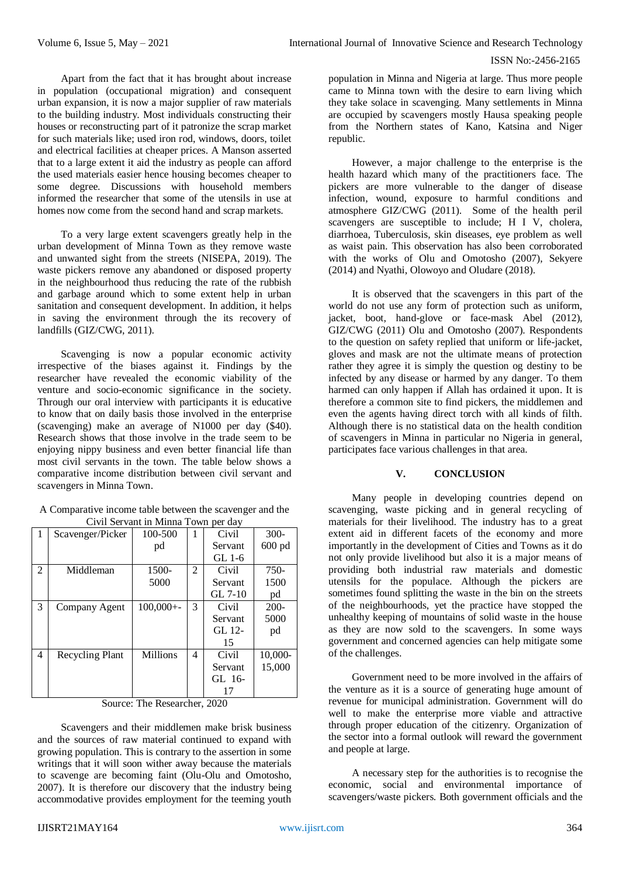Apart from the fact that it has brought about increase in population (occupational migration) and consequent urban expansion, it is now a major supplier of raw materials to the building industry. Most individuals constructing their houses or reconstructing part of it patronize the scrap market for such materials like; used iron rod, windows, doors, toilet and electrical facilities at cheaper prices. A Manson asserted that to a large extent it aid the industry as people can afford the used materials easier hence housing becomes cheaper to some degree. Discussions with household members informed the researcher that some of the utensils in use at homes now come from the second hand and scrap markets.

To a very large extent scavengers greatly help in the urban development of Minna Town as they remove waste and unwanted sight from the streets (NISEPA, 2019). The waste pickers remove any abandoned or disposed property in the neighbourhood thus reducing the rate of the rubbish and garbage around which to some extent help in urban sanitation and consequent development. In addition, it helps in saving the environment through the its recovery of landfills (GIZ/CWG, 2011).

Scavenging is now a popular economic activity irrespective of the biases against it. Findings by the researcher have revealed the economic viability of the venture and socio-economic significance in the society. Through our oral interview with participants it is educative to know that on daily basis those involved in the enterprise (scavenging) make an average of N1000 per day (\$40). Research shows that those involve in the trade seem to be enjoying nippy business and even better financial life than most civil servants in the town. The table below shows a comparative income distribution between civil servant and scavengers in Minna Town.

| A Comparative income table between the scavenger and the |  |  |  |  |  |
|----------------------------------------------------------|--|--|--|--|--|
| Civil Servant in Minna Town per day                      |  |  |  |  |  |

| -1             |                  | Cryn Derydhi in ivinnia Town per day<br>100-500 |   | Civil    | $300 -$ |
|----------------|------------------|-------------------------------------------------|---|----------|---------|
|                | Scavenger/Picker |                                                 |   |          |         |
|                |                  | pd                                              |   | Servant  | 600 pd  |
|                |                  |                                                 |   | GL $1-6$ |         |
| $\mathfrak{D}$ | Middleman        | 1500-                                           | 2 | Civil    | 750-    |
|                |                  | 5000                                            |   | Servant  | 1500    |
|                |                  |                                                 |   | GL 7-10  | pd      |
| 3              | Company Agent    | $100,000 + -$                                   | 3 | Civil    | $200 -$ |
|                |                  |                                                 |   | Servant  | 5000    |
|                |                  |                                                 |   | GL 12-   | pd      |
|                |                  |                                                 |   | 15       |         |
| 4              | Recycling Plant  | <b>Millions</b>                                 | 4 | Civil    | 10,000- |
|                |                  |                                                 |   | Servant  | 15,000  |
|                |                  |                                                 |   | GL 16-   |         |
|                |                  |                                                 |   | 17       |         |

Source: The Researcher, 2020

Scavengers and their middlemen make brisk business and the sources of raw material continued to expand with growing population. This is contrary to the assertion in some writings that it will soon wither away because the materials to scavenge are becoming faint (Olu-Olu and Omotosho, 2007). It is therefore our discovery that the industry being accommodative provides employment for the teeming youth

population in Minna and Nigeria at large. Thus more people came to Minna town with the desire to earn living which they take solace in scavenging. Many settlements in Minna are occupied by scavengers mostly Hausa speaking people from the Northern states of Kano, Katsina and Niger republic.

However, a major challenge to the enterprise is the health hazard which many of the practitioners face. The pickers are more vulnerable to the danger of disease infection, wound, exposure to harmful conditions and atmosphere GIZ/CWG (2011). Some of the health peril scavengers are susceptible to include; H I V, cholera, diarrhoea, Tuberculosis, skin diseases, eye problem as well as waist pain. This observation has also been corroborated with the works of Olu and Omotosho (2007), Sekyere (2014) and Nyathi, Olowoyo and Oludare (2018).

It is observed that the scavengers in this part of the world do not use any form of protection such as uniform, jacket, boot, hand-glove or face-mask Abel (2012), GIZ/CWG (2011) Olu and Omotosho (2007). Respondents to the question on safety replied that uniform or life-jacket, gloves and mask are not the ultimate means of protection rather they agree it is simply the question og destiny to be infected by any disease or harmed by any danger. To them harmed can only happen if Allah has ordained it upon. It is therefore a common site to find pickers, the middlemen and even the agents having direct torch with all kinds of filth. Although there is no statistical data on the health condition of scavengers in Minna in particular no Nigeria in general, participates face various challenges in that area.

## **V. CONCLUSION**

Many people in developing countries depend on scavenging, waste picking and in general recycling of materials for their livelihood. The industry has to a great extent aid in different facets of the economy and more importantly in the development of Cities and Towns as it do not only provide livelihood but also it is a major means of providing both industrial raw materials and domestic utensils for the populace. Although the pickers are sometimes found splitting the waste in the bin on the streets of the neighbourhoods, yet the practice have stopped the unhealthy keeping of mountains of solid waste in the house as they are now sold to the scavengers. In some ways government and concerned agencies can help mitigate some of the challenges.

Government need to be more involved in the affairs of the venture as it is a source of generating huge amount of revenue for municipal administration. Government will do well to make the enterprise more viable and attractive through proper education of the citizenry. Organization of the sector into a formal outlook will reward the government and people at large.

A necessary step for the authorities is to recognise the economic, social and environmental importance of scavengers/waste pickers. Both government officials and the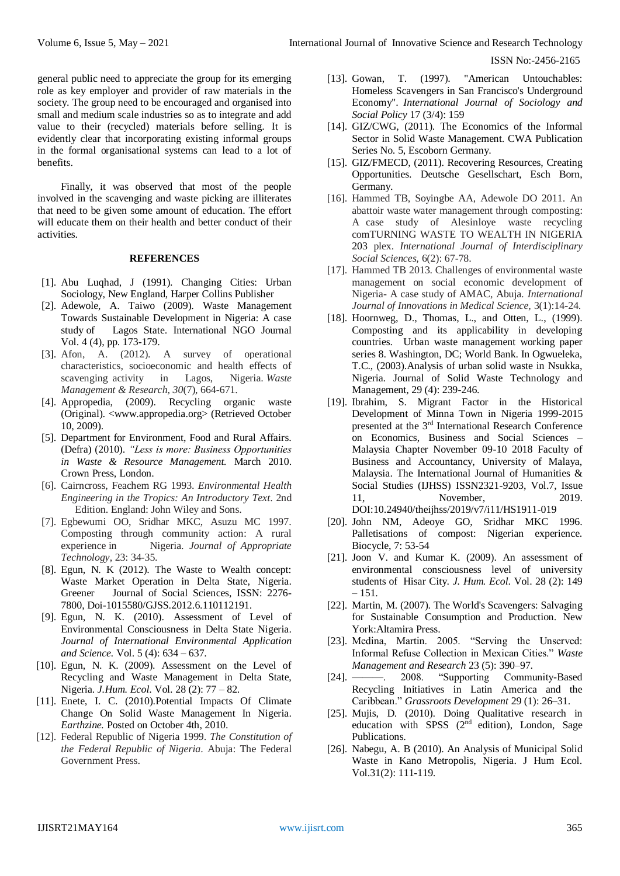general public need to appreciate the group for its emerging role as key employer and provider of raw materials in the society. The group need to be encouraged and organised into small and medium scale industries so as to integrate and add value to their (recycled) materials before selling. It is evidently clear that incorporating existing informal groups in the formal organisational systems can lead to a lot of benefits.

Finally, it was observed that most of the people involved in the scavenging and waste picking are illiterates that need to be given some amount of education. The effort will educate them on their health and better conduct of their activities.

## **REFERENCES**

- [1]. Abu Luqhad, J (1991). Changing Cities: Urban Sociology, New England, Harper Collins Publisher
- [2]. Adewole, A. Taiwo (2009). Waste Management Towards Sustainable Development in Nigeria: A case study of Lagos State. International NGO Journal Vol. 4 (4), pp. 173-179.
- [3]. Afon, A. (2012). A survey of operational characteristics, socioeconomic and health effects of scavenging activity in Lagos, Nigeria. *Waste Management & Research*, *30*(7), 664-671.
- [4]. Appropedia, (2009). Recycling organic waste (Original). <www.appropedia.org> (Retrieved October 10, 2009).
- [5]. Department for Environment, Food and Rural Affairs. (Defra) (2010). *"Less is more: Business Opportunities in Waste & Resource Management.* March 2010. Crown Press, London.
- [6]. Cairncross, Feachem RG 1993. *Environmental Health Engineering in the Tropics: An Introductory Text*. 2nd Edition. England: John Wiley and Sons.
- [7]. Egbewumi OO, Sridhar MKC, Asuzu MC 1997. Composting through community action: A rural experience in Nigeria. *Journal of Appropriate Technology*, 23: 34-35.
- [8]. Egun, N. K (2012). The Waste to Wealth concept: Waste Market Operation in Delta State, Nigeria. Greener Journal of Social Sciences, ISSN: 2276- 7800, Doi-1015580/GJSS.2012.6.110112191.
- [9]. Egun, N. K. (2010). Assessment of Level of Environmental Consciousness in Delta State Nigeria. *Journal of International Environmental Application and Science.* Vol. 5 (4): 634 – 637.
- [10]. Egun, N. K. (2009). Assessment on the Level of Recycling and Waste Management in Delta State, Nigeria. *J.Hum. Ecol*. Vol. 28 (2): 77 – 82.
- [11]. Enete, I. C. (2010).Potential Impacts Of Climate Change On Solid Waste Management In Nigeria. *Earthzine.* Posted on October 4th, 2010.
- [12]. Federal Republic of Nigeria 1999. *The Constitution of the Federal Republic of Nigeria*. Abuja: The Federal Government Press.
- [13]. Gowan, T. (1997). "American Untouchables: Homeless Scavengers in San Francisco's Underground Economy". *International Journal of Sociology and Social Policy* 17 (3/4): 159
- [14]. GIZ/CWG, (2011). The Economics of the Informal Sector in Solid Waste Management. CWA Publication Series No. 5, Escoborn Germany.
- [15]. GIZ/FMECD, (2011). Recovering Resources, Creating Opportunities. Deutsche Gesellschart, Esch Born, Germany.
- [16]. Hammed TB, Soyingbe AA, Adewole DO 2011. An abattoir waste water management through composting: A case study of Alesinloye waste recycling comTURNING WASTE TO WEALTH IN NIGERIA 203 plex. *International Journal of Interdisciplinary Social Sciences,* 6(2): 67-78.
- [17]. Hammed TB 2013. Challenges of environmental waste management on social economic development of Nigeria- A case study of AMAC, Abuja*. International Journal of Innovations in Medical Science,* 3(1):14-24.
- [18]. Hoornweg, D., Thomas, L., and Otten, L., (1999). Composting and its applicability in developing countries. Urban waste management working paper series 8. Washington, DC; World Bank. In Ogwueleka, T.C., (2003).Analysis of urban solid waste in Nsukka, Nigeria. Journal of Solid Waste Technology and Management, 29 (4): 239-246.
- [19]. Ibrahim, S. Migrant Factor in the Historical Development of Minna Town in Nigeria 1999-2015 presented at the 3rd International Research Conference on Economics, Business and Social Sciences – Malaysia Chapter November 09-10 2018 Faculty of Business and Accountancy, University of Malaya, Malaysia. The International Journal of Humanities & Social Studies (IJHSS) ISSN2321-9203, Vol.7, Issue 11, November, 2019. DOI:10.24940/theijhss/2019/v7/i11/HS1911-019
- [20]. John NM, Adeoye GO, Sridhar MKC 1996. Palletisations of compost: Nigerian experience. Biocycle, 7: 53-54
- [21]. Joon V. and Kumar K. (2009). An assessment of environmental consciousness level of university students of Hisar City. *J. Hum. Ecol*. Vol. 28 (2): 149  $-151.$
- [22]. Martin, M. (2007). The World's Scavengers: Salvaging for Sustainable Consumption and Production. New York:Altamira Press.
- [23]. Medina, Martin. 2005. "Serving the Unserved: Informal Refuse Collection in Mexican Cities." *Waste Management and Research* 23 (5): 390–97.
- [24]. ———. 2008. "Supporting Community-Based Recycling Initiatives in Latin America and the Caribbean." *Grassroots Development* 29 (1): 26–31.
- [25]. Mujis, D. (2010). Doing Qualitative research in education with SPSS (2<sup>nd</sup> edition), London, Sage Publications.
- [26]. Nabegu, A. B (2010). An Analysis of Municipal Solid Waste in Kano Metropolis, Nigeria. J Hum Ecol. Vol.31(2): 111-119.